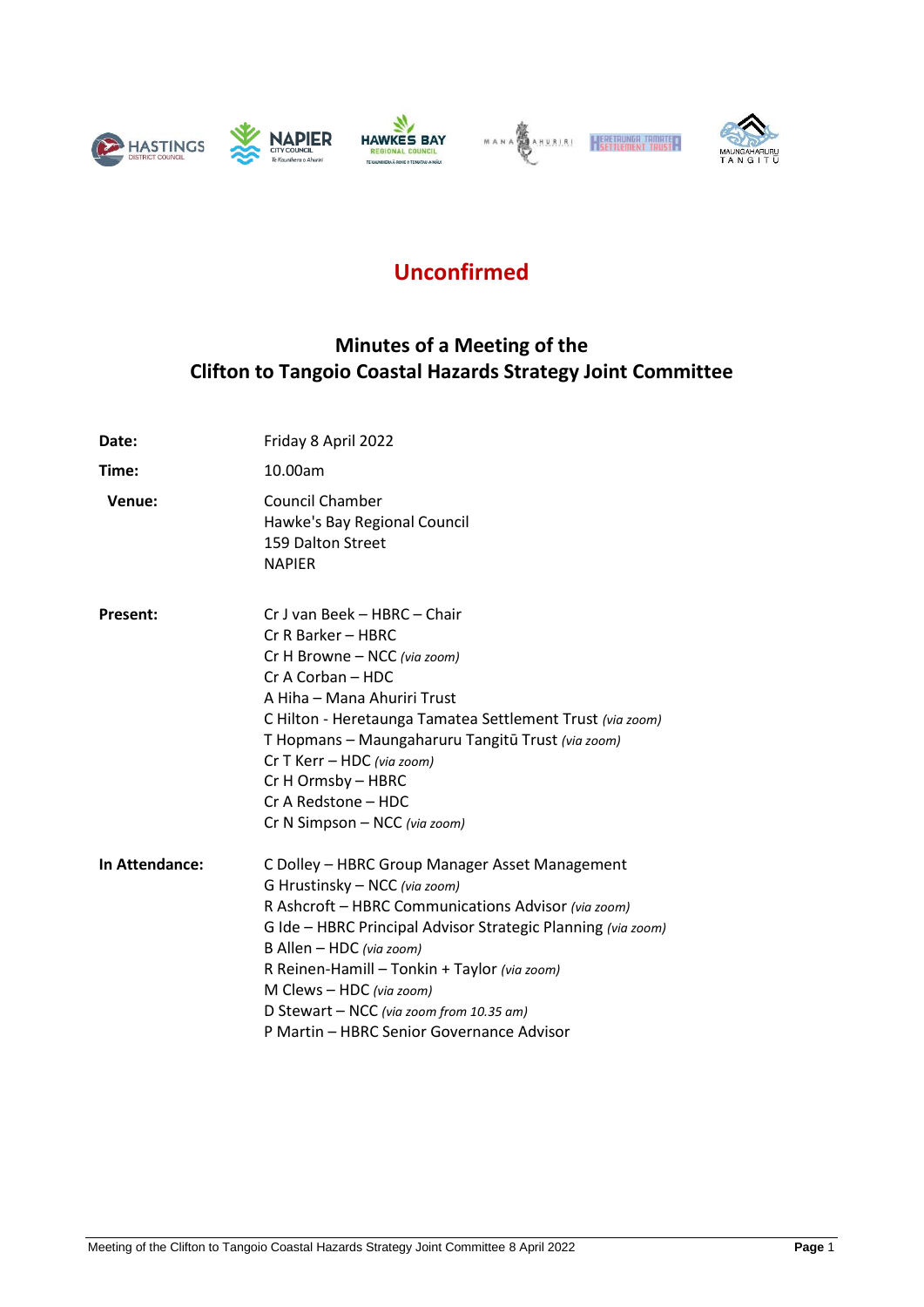





# **Unconfirmed**

# **Minutes of a Meeting of the Clifton to Tangoio Coastal Hazards Strategy Joint Committee**

| Date:           | Friday 8 April 2022                                                                                                                                                                                                                                                                                                                                                                                     |
|-----------------|---------------------------------------------------------------------------------------------------------------------------------------------------------------------------------------------------------------------------------------------------------------------------------------------------------------------------------------------------------------------------------------------------------|
| Time:           | 10.00am                                                                                                                                                                                                                                                                                                                                                                                                 |
| Venue:          | Council Chamber<br>Hawke's Bay Regional Council<br>159 Dalton Street<br><b>NAPIER</b>                                                                                                                                                                                                                                                                                                                   |
| <b>Present:</b> | Cr J van Beek - HBRC - Chair<br>Cr R Barker - HBRC<br>Cr H Browne - NCC (via zoom)<br>Cr A Corban - HDC<br>A Hiha - Mana Ahuriri Trust<br>C Hilton - Heretaunga Tamatea Settlement Trust (via zoom)<br>T Hopmans - Maungaharuru Tangitū Trust (via zoom)<br>Cr T Kerr - HDC (via zoom)<br>Cr H Ormsby - HBRC<br>Cr A Redstone - HDC<br>Cr N Simpson - NCC (via zoom)                                    |
| In Attendance:  | C Dolley - HBRC Group Manager Asset Management<br>G Hrustinsky - NCC (via zoom)<br>R Ashcroft - HBRC Communications Advisor (via zoom)<br>G Ide - HBRC Principal Advisor Strategic Planning (via zoom)<br>B Allen - HDC (via zoom)<br>R Reinen-Hamill - Tonkin + Taylor (via zoom)<br>M Clews - HDC (via zoom)<br>D Stewart - NCC (via zoom from 10.35 am)<br>P Martin - HBRC Senior Governance Advisor |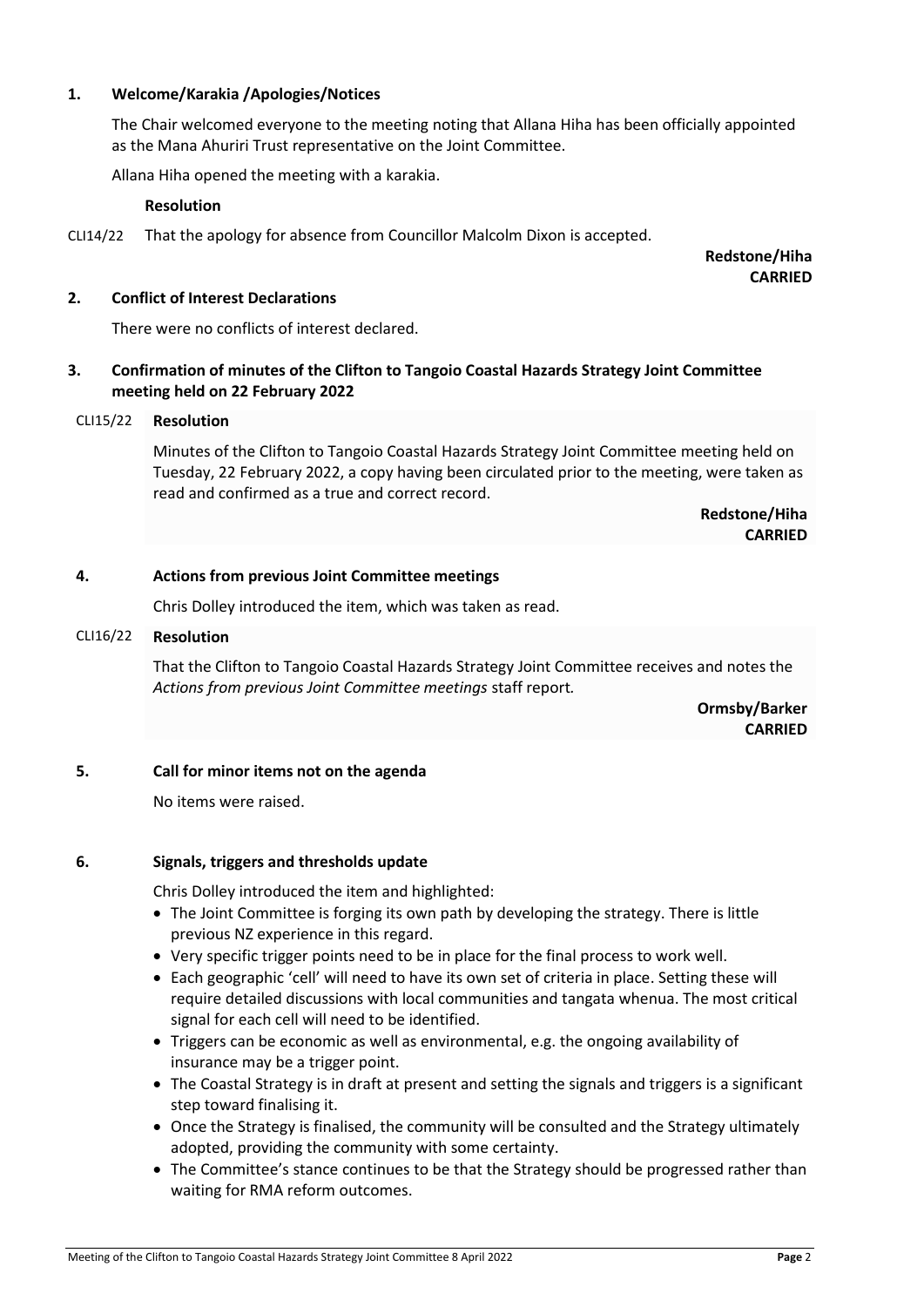#### **1. Welcome/Karakia /Apologies/Notices**

The Chair welcomed everyone to the meeting noting that Allana Hiha has been officially appointed as the Mana Ahuriri Trust representative on the Joint Committee.

Allana Hiha opened the meeting with a karakia.

### **Resolution**

CLI14/22 That the apology for absence from Councillor Malcolm Dixon is accepted.

**Redstone/Hiha CARRIED**

# **2. Conflict of Interest Declarations**

There were no conflicts of interest declared.

# **3. Confirmation of minutes of the Clifton to Tangoio Coastal Hazards Strategy Joint Committee meeting held on 22 February 2022**

# CLI15/22 **Resolution**

Minutes of the Clifton to Tangoio Coastal Hazards Strategy Joint Committee meeting held on Tuesday, 22 February 2022, a copy having been circulated prior to the meeting, were taken as read and confirmed as a true and correct record.

> **Redstone/Hiha CARRIED**

### **4. Actions from previous Joint Committee meetings**

Chris Dolley introduced the item, which was taken as read.

# CLI16/22 **Resolution**

That the Clifton to Tangoio Coastal Hazards Strategy Joint Committee receives and notes the *Actions from previous Joint Committee meetings* staff report*.*

> **Ormsby/Barker CARRIED**

# **5. Call for minor items not on the agenda**

No items were raised.

#### **6. Signals, triggers and thresholds update**

Chris Dolley introduced the item and highlighted:

- The Joint Committee is forging its own path by developing the strategy. There is little previous NZ experience in this regard.
- Very specific trigger points need to be in place for the final process to work well.
- Each geographic 'cell' will need to have its own set of criteria in place. Setting these will require detailed discussions with local communities and tangata whenua. The most critical signal for each cell will need to be identified.
- Triggers can be economic as well as environmental, e.g. the ongoing availability of insurance may be a trigger point.
- The Coastal Strategy is in draft at present and setting the signals and triggers is a significant step toward finalising it.
- Once the Strategy is finalised, the community will be consulted and the Strategy ultimately adopted, providing the community with some certainty.
- The Committee's stance continues to be that the Strategy should be progressed rather than waiting for RMA reform outcomes.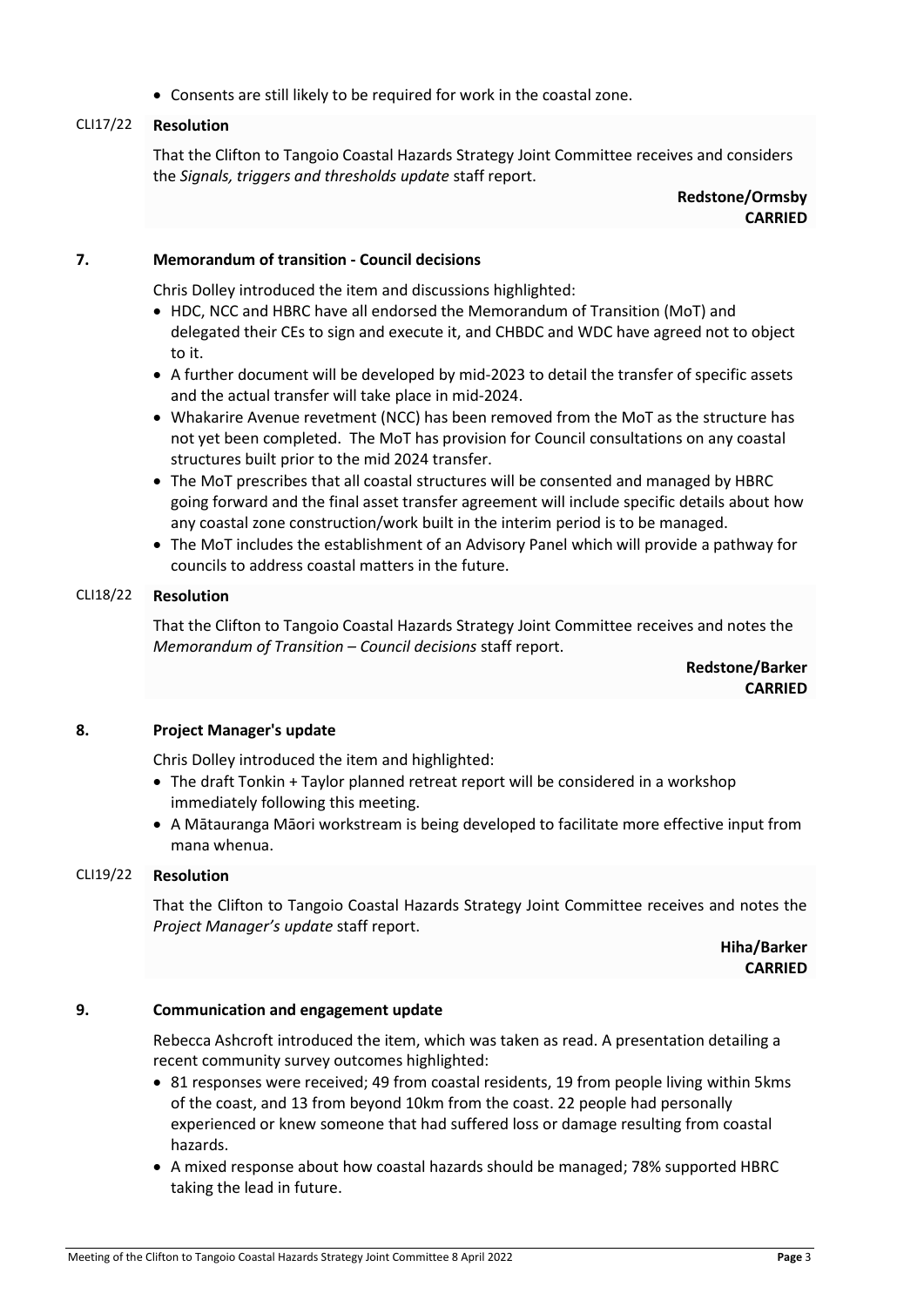• Consents are still likely to be required for work in the coastal zone.

#### CLI17/22 **Resolution**

That the Clifton to Tangoio Coastal Hazards Strategy Joint Committee receives and considers the *Signals, triggers and thresholds update* staff report.

> **Redstone/Ormsby CARRIED**

#### **7. Memorandum of transition - Council decisions**

Chris Dolley introduced the item and discussions highlighted:

- HDC, NCC and HBRC have all endorsed the Memorandum of Transition (MoT) and delegated their CEs to sign and execute it, and CHBDC and WDC have agreed not to object to it.
- A further document will be developed by mid-2023 to detail the transfer of specific assets and the actual transfer will take place in mid-2024.
- Whakarire Avenue revetment (NCC) has been removed from the MoT as the structure has not yet been completed. The MoT has provision for Council consultations on any coastal structures built prior to the mid 2024 transfer.
- The MoT prescribes that all coastal structures will be consented and managed by HBRC going forward and the final asset transfer agreement will include specific details about how any coastal zone construction/work built in the interim period is to be managed.
- The MoT includes the establishment of an Advisory Panel which will provide a pathway for councils to address coastal matters in the future.

# CLI18/22 **Resolution**

That the Clifton to Tangoio Coastal Hazards Strategy Joint Committee receives and notes the *Memorandum of Transition – Council decisions* staff report.

**Redstone/Barker CARRIED**

# **8. Project Manager's update**

Chris Dolley introduced the item and highlighted:

- The draft Tonkin + Taylor planned retreat report will be considered in a workshop immediately following this meeting.
- A Mātauranga Māori workstream is being developed to facilitate more effective input from mana whenua.

#### CLI19/22 **Resolution**

That the Clifton to Tangoio Coastal Hazards Strategy Joint Committee receives and notes the *Project Manager's update* staff report.

> **Hiha/Barker CARRIED**

#### **9. Communication and engagement update**

Rebecca Ashcroft introduced the item, which was taken as read. A presentation detailing a recent community survey outcomes highlighted:

- 81 responses were received; 49 from coastal residents, 19 from people living within 5kms of the coast, and 13 from beyond 10km from the coast. 22 people had personally experienced or knew someone that had suffered loss or damage resulting from coastal hazards.
- A mixed response about how coastal hazards should be managed; 78% supported HBRC taking the lead in future.